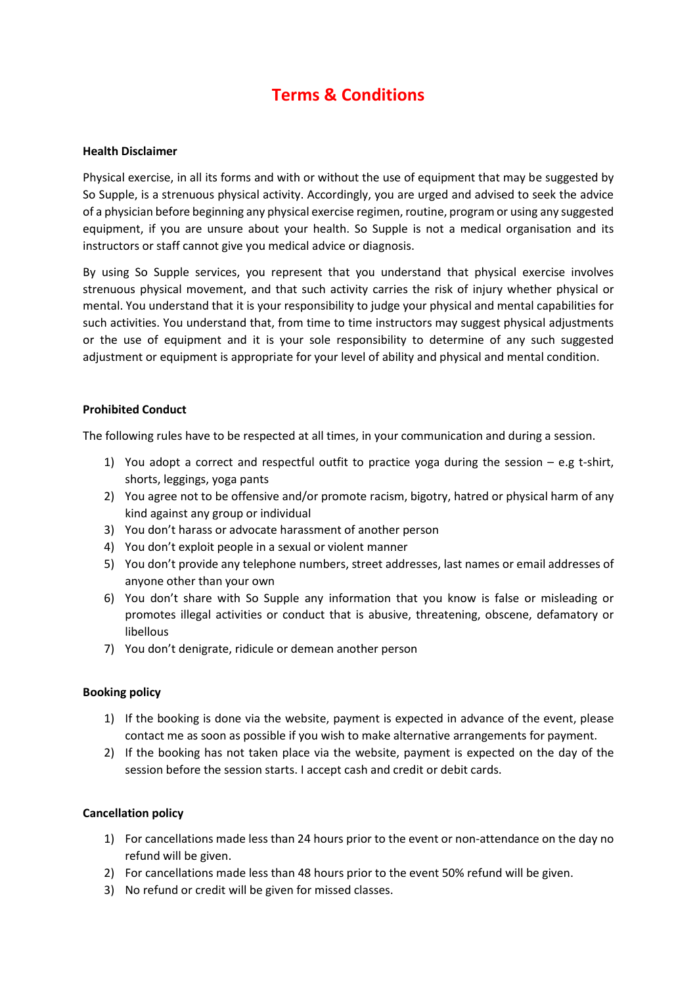# **Terms & Conditions**

### **Health Disclaimer**

Physical exercise, in all its forms and with or without the use of equipment that may be suggested by So Supple, is a strenuous physical activity. Accordingly, you are urged and advised to seek the advice of a physician before beginning any physical exercise regimen, routine, program or using any suggested equipment, if you are unsure about your health. So Supple is not a medical organisation and its instructors or staff cannot give you medical advice or diagnosis.

By using So Supple services, you represent that you understand that physical exercise involves strenuous physical movement, and that such activity carries the risk of injury whether physical or mental. You understand that it is your responsibility to judge your physical and mental capabilities for such activities. You understand that, from time to time instructors may suggest physical adjustments or the use of equipment and it is your sole responsibility to determine of any such suggested adjustment or equipment is appropriate for your level of ability and physical and mental condition.

#### **Prohibited Conduct**

The following rules have to be respected at all times, in your communication and during a session.

- 1) You adopt a correct and respectful outfit to practice yoga during the session e.g t-shirt, shorts, leggings, yoga pants
- 2) You agree not to be offensive and/or promote racism, bigotry, hatred or physical harm of any kind against any group or individual
- 3) You don't harass or advocate harassment of another person
- 4) You don't exploit people in a sexual or violent manner
- 5) You don't provide any telephone numbers, street addresses, last names or email addresses of anyone other than your own
- 6) You don't share with So Supple any information that you know is false or misleading or promotes illegal activities or conduct that is abusive, threatening, obscene, defamatory or libellous
- 7) You don't denigrate, ridicule or demean another person

#### **Booking policy**

- 1) If the booking is done via the website, payment is expected in advance of the event, please contact me as soon as possible if you wish to make alternative arrangements for payment.
- 2) If the booking has not taken place via the website, payment is expected on the day of the session before the session starts. I accept cash and credit or debit cards.

#### **Cancellation policy**

- 1) For cancellations made less than 24 hours prior to the event or non-attendance on the day no refund will be given.
- 2) For cancellations made less than 48 hours prior to the event 50% refund will be given.
- 3) No refund or credit will be given for missed classes.